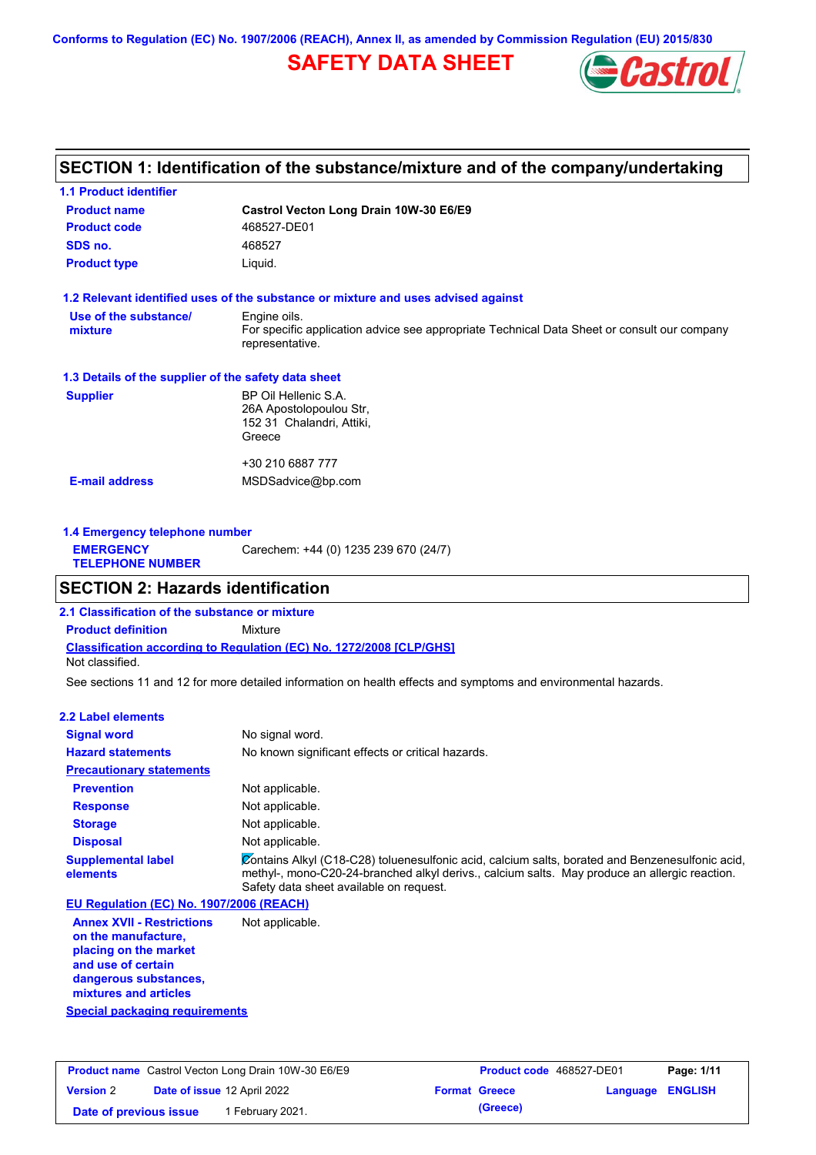**Conforms to Regulation (EC) No. 1907/2006 (REACH), Annex II, as amended by Commission Regulation (EU) 2015/830**

# **SAFETY DATA SHEET**



## **SECTION 1: Identification of the substance/mixture and of the company/undertaking**

| <b>1.1 Product identifier</b>                        |                                                                                                                |
|------------------------------------------------------|----------------------------------------------------------------------------------------------------------------|
| <b>Product name</b>                                  | Castrol Vecton Long Drain 10W-30 E6/E9                                                                         |
| <b>Product code</b>                                  | 468527-DE01                                                                                                    |
| SDS no.                                              | 468527                                                                                                         |
| <b>Product type</b>                                  | Liquid.                                                                                                        |
|                                                      | 1.2 Relevant identified uses of the substance or mixture and uses advised against                              |
| Use of the substance/                                | Engine oils.                                                                                                   |
| mixture                                              | For specific application advice see appropriate Technical Data Sheet or consult our company<br>representative. |
| 1.3 Details of the supplier of the safety data sheet |                                                                                                                |
| <b>Supplier</b>                                      | BP Oil Hellenic S.A.                                                                                           |
|                                                      | 26A Apostolopoulou Str.                                                                                        |
|                                                      | 152 31 Chalandri, Attiki,<br>Greece                                                                            |
|                                                      |                                                                                                                |
|                                                      | +30 210 6887 777                                                                                               |
| <b>E-mail address</b>                                | MSDSadvice@bp.com                                                                                              |
|                                                      |                                                                                                                |
|                                                      |                                                                                                                |

| 1.4 Emergency telephone number<br>Carechem: +44 (0) 1235 239 670 (24/7) |  |  |
|-------------------------------------------------------------------------|--|--|
| <b>EMERGENCY</b><br><b>TELEPHONE NUMBER</b>                             |  |  |

### **SECTION 2: Hazards identification**

**Classification according to Regulation (EC) No. 1272/2008 [CLP/GHS] 2.1 Classification of the substance or mixture Product definition** Mixture Not classified.

See sections 11 and 12 for more detailed information on health effects and symptoms and environmental hazards.

#### **2.2 Label elements**

| <b>Signal word</b>                       | No signal word.                                                                                                                                                                                                                             |
|------------------------------------------|---------------------------------------------------------------------------------------------------------------------------------------------------------------------------------------------------------------------------------------------|
| <b>Hazard statements</b>                 | No known significant effects or critical hazards.                                                                                                                                                                                           |
| <b>Precautionary statements</b>          |                                                                                                                                                                                                                                             |
| <b>Prevention</b>                        | Not applicable.                                                                                                                                                                                                                             |
| <b>Response</b>                          | Not applicable.                                                                                                                                                                                                                             |
| <b>Storage</b>                           | Not applicable.                                                                                                                                                                                                                             |
| <b>Disposal</b>                          | Not applicable.                                                                                                                                                                                                                             |
| <b>Supplemental label</b><br>elements    | Contains Alkyl (C18-C28) toluenesulfonic acid, calcium salts, borated and Benzenesulfonic acid,<br>methyl-, mono-C20-24-branched alkyl derivs., calcium salts. May produce an allergic reaction.<br>Safety data sheet available on request. |
| EU Regulation (EC) No. 1907/2006 (REACH) |                                                                                                                                                                                                                                             |
| <b>Annex XVII - Restrictions</b>         | Not applicable.                                                                                                                                                                                                                             |

**Annex XVII - Restrictions on the manufacture, placing on the market and use of certain dangerous substances, mixtures and articles**

**Special packaging requirements**

| <b>Product name</b> Castrol Vecton Long Drain 10W-30 E6/E9 |  | <b>Product code</b> 468527-DE01    |  | Page: 1/11           |                         |  |
|------------------------------------------------------------|--|------------------------------------|--|----------------------|-------------------------|--|
| <b>Version 2</b>                                           |  | <b>Date of issue 12 April 2022</b> |  | <b>Format Greece</b> | <b>Language ENGLISH</b> |  |
| Date of previous issue                                     |  | February 2021.                     |  | (Greece)             |                         |  |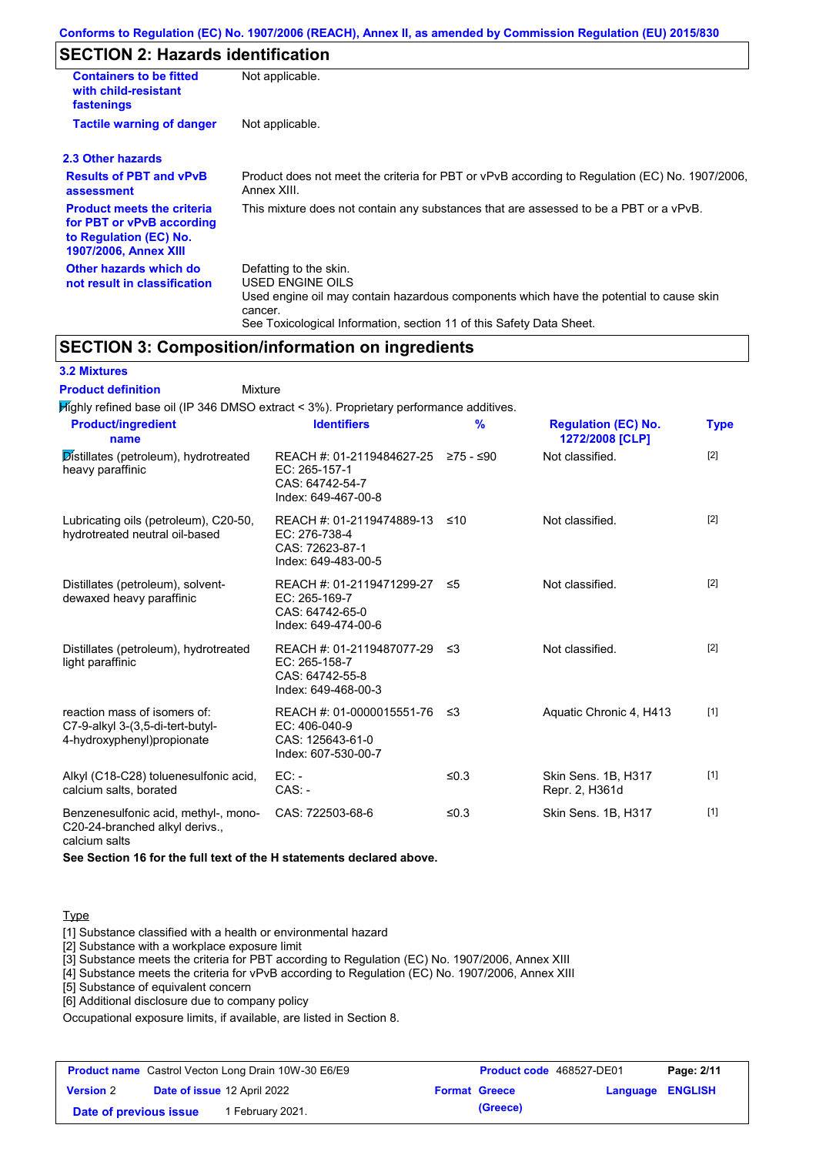# **SECTION 2: Hazards identification**

| <b>Containers to be fitted</b><br>with child-resistant<br>fastenings                                                     | Not applicable.                                                                                                                                                                                                          |
|--------------------------------------------------------------------------------------------------------------------------|--------------------------------------------------------------------------------------------------------------------------------------------------------------------------------------------------------------------------|
| <b>Tactile warning of danger</b>                                                                                         | Not applicable.                                                                                                                                                                                                          |
| 2.3 Other hazards                                                                                                        |                                                                                                                                                                                                                          |
| <b>Results of PBT and vPvB</b><br>assessment                                                                             | Product does not meet the criteria for PBT or vPvB according to Regulation (EC) No. 1907/2006.<br>Annex XIII.                                                                                                            |
| <b>Product meets the criteria</b><br>for PBT or vPvB according<br>to Regulation (EC) No.<br><b>1907/2006, Annex XIII</b> | This mixture does not contain any substances that are assessed to be a PBT or a vPvB.                                                                                                                                    |
| Other hazards which do<br>not result in classification                                                                   | Defatting to the skin.<br>USED ENGINE OILS<br>Used engine oil may contain hazardous components which have the potential to cause skin<br>cancer.<br>See Toxicological Information, section 11 of this Safety Data Sheet. |

# **SECTION 3: Composition/information on ingredients**

| <b>3.2 Mixtures</b> |  |
|---------------------|--|
|                     |  |

Mixture **Product definition**

| Mighly refined base oil (IP 346 DMSO extract < 3%). Proprietary performance additives.         |                                                                                         |           |                                               |             |
|------------------------------------------------------------------------------------------------|-----------------------------------------------------------------------------------------|-----------|-----------------------------------------------|-------------|
| <b>Product/ingredient</b><br>name                                                              | <b>Identifiers</b>                                                                      | $\%$      | <b>Regulation (EC) No.</b><br>1272/2008 [CLP] | <b>Type</b> |
| Distillates (petroleum), hydrotreated<br>heavy paraffinic                                      | REACH #: 01-2119484627-25<br>EC: 265-157-1<br>CAS: 64742-54-7<br>Index: 649-467-00-8    | 275 - ≤90 | Not classified.                               | $[2]$       |
| Lubricating oils (petroleum), C20-50,<br>hydrotreated neutral oil-based                        | REACH #: 01-2119474889-13<br>EC: 276-738-4<br>CAS: 72623-87-1<br>Index: 649-483-00-5    | ≤10       | Not classified.                               | $[2]$       |
| Distillates (petroleum), solvent-<br>dewaxed heavy paraffinic                                  | REACH #: 01-2119471299-27 ≤5<br>EC: 265-169-7<br>CAS: 64742-65-0<br>Index: 649-474-00-6 |           | Not classified.                               | $[2]$       |
| Distillates (petroleum), hydrotreated<br>light paraffinic                                      | REACH #: 01-2119487077-29<br>$EC: 265-158-7$<br>CAS: 64742-55-8<br>Index: 649-468-00-3  | ≤3        | Not classified.                               | $[2]$       |
| reaction mass of isomers of:<br>C7-9-alkyl 3-(3,5-di-tert-butyl-<br>4-hydroxyphenyl)propionate | REACH #: 01-0000015551-76<br>$EC: 406-040-9$<br>CAS: 125643-61-0<br>Index: 607-530-00-7 | ≤3        | Aquatic Chronic 4, H413                       | $[1]$       |
| Alkyl (C18-C28) toluenesulfonic acid,<br>calcium salts, borated                                | $EC: -$<br>$CAS. -$                                                                     | ≤ $0.3$   | Skin Sens. 1B, H317<br>Repr. 2, H361d         | $[1]$       |
| Benzenesulfonic acid, methyl-, mono-<br>C20-24-branched alkyl derivs.,<br>calcium salts        | CAS: 722503-68-6                                                                        | ≤0.3      | Skin Sens. 1B, H317                           | $[1]$       |

**See Section 16 for the full text of the H statements declared above.**

#### **Type**

[1] Substance classified with a health or environmental hazard

[2] Substance with a workplace exposure limit

[3] Substance meets the criteria for PBT according to Regulation (EC) No. 1907/2006, Annex XIII

[4] Substance meets the criteria for vPvB according to Regulation (EC) No. 1907/2006, Annex XIII

[5] Substance of equivalent concern

[6] Additional disclosure due to company policy

Occupational exposure limits, if available, are listed in Section 8.

| <b>Product name</b> Castrol Vecton Long Drain 10W-30 E6/E9 |  |                                    | <b>Product code</b> 468527-DE01 |                      | Page: 2/11       |  |
|------------------------------------------------------------|--|------------------------------------|---------------------------------|----------------------|------------------|--|
| <b>Version 2</b>                                           |  | <b>Date of issue 12 April 2022</b> |                                 | <b>Format Greece</b> | Language ENGLISH |  |
| Date of previous issue                                     |  | 1 February 2021.                   |                                 | (Greece)             |                  |  |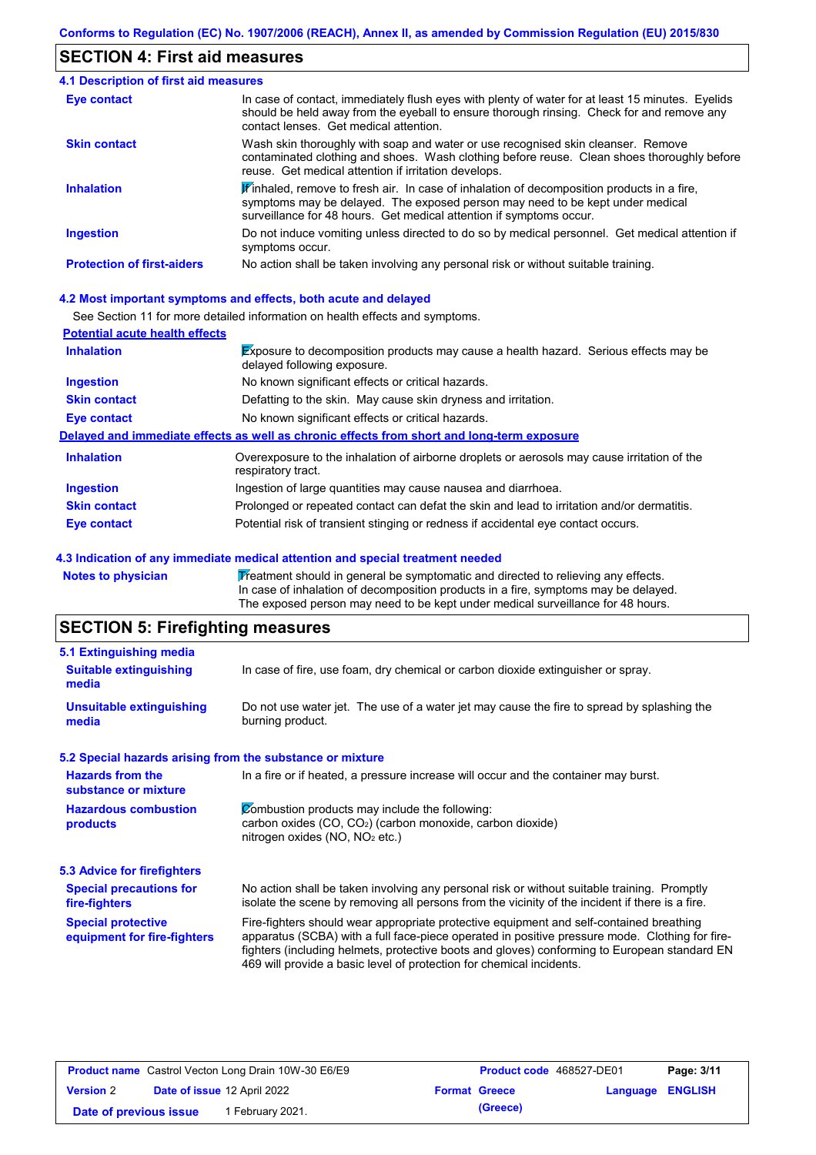## **SECTION 4: First aid measures**

| 4.1 Description of first aid measures |                                                                                                                                                                                                                                                               |
|---------------------------------------|---------------------------------------------------------------------------------------------------------------------------------------------------------------------------------------------------------------------------------------------------------------|
| Eye contact                           | In case of contact, immediately flush eyes with plenty of water for at least 15 minutes. Eyelids<br>should be held away from the eyeball to ensure thorough rinsing. Check for and remove any<br>contact lenses. Get medical attention.                       |
| <b>Skin contact</b>                   | Wash skin thoroughly with soap and water or use recognised skin cleanser. Remove<br>contaminated clothing and shoes. Wash clothing before reuse. Clean shoes thoroughly before<br>reuse. Get medical attention if irritation develops.                        |
| <b>Inhalation</b>                     | $\mathbf{F}$ inhaled, remove to fresh air. In case of inhalation of decomposition products in a fire,<br>symptoms may be delayed. The exposed person may need to be kept under medical<br>surveillance for 48 hours. Get medical attention if symptoms occur. |
| <b>Ingestion</b>                      | Do not induce vomiting unless directed to do so by medical personnel. Get medical attention if<br>symptoms occur.                                                                                                                                             |
| <b>Protection of first-aiders</b>     | No action shall be taken involving any personal risk or without suitable training.                                                                                                                                                                            |

#### **4.2 Most important symptoms and effects, both acute and delayed**

See Section 11 for more detailed information on health effects and symptoms.

| <b>Potential acute health effects</b> |                                                                                                                            |
|---------------------------------------|----------------------------------------------------------------------------------------------------------------------------|
| <b>Inhalation</b>                     | <b>Exposure to decomposition products may cause a health hazard. Serious effects may be</b><br>delayed following exposure. |
| <b>Ingestion</b>                      | No known significant effects or critical hazards.                                                                          |
| <b>Skin contact</b>                   | Defatting to the skin. May cause skin dryness and irritation.                                                              |
| Eye contact                           | No known significant effects or critical hazards.                                                                          |
|                                       | Delayed and immediate effects as well as chronic effects from short and long-term exposure                                 |
| <b>Inhalation</b>                     | Overexposure to the inhalation of airborne droplets or aerosols may cause irritation of the<br>respiratory tract.          |
| <b>Ingestion</b>                      | Ingestion of large quantities may cause nausea and diarrhoea.                                                              |
| <b>Skin contact</b>                   | Prolonged or repeated contact can defat the skin and lead to irritation and/or dermatitis.                                 |
| Eye contact                           | Potential risk of transient stinging or redness if accidental eye contact occurs.                                          |

#### **4.3 Indication of any immediate medical attention and special treatment needed**

Notes to physician **Treatment should in general be symptomatic and directed to relieving any effects.** In case of inhalation of decomposition products in a fire, symptoms may be delayed. The exposed person may need to be kept under medical surveillance for 48 hours.

# **SECTION 5: Firefighting measures**

| 5.1 Extinguishing media                                   |                                                                                                                                                                                                                                                                                                                                                                   |
|-----------------------------------------------------------|-------------------------------------------------------------------------------------------------------------------------------------------------------------------------------------------------------------------------------------------------------------------------------------------------------------------------------------------------------------------|
| <b>Suitable extinguishing</b><br>media                    | In case of fire, use foam, dry chemical or carbon dioxide extinguisher or spray.                                                                                                                                                                                                                                                                                  |
| <b>Unsuitable extinguishing</b><br>media                  | Do not use water jet. The use of a water jet may cause the fire to spread by splashing the<br>burning product.                                                                                                                                                                                                                                                    |
| 5.2 Special hazards arising from the substance or mixture |                                                                                                                                                                                                                                                                                                                                                                   |
| <b>Hazards from the</b><br>substance or mixture           | In a fire or if heated, a pressure increase will occur and the container may burst.                                                                                                                                                                                                                                                                               |
| <b>Hazardous combustion</b><br>products                   | Combustion products may include the following:<br>carbon oxides $(CO, CO2)$ (carbon monoxide, carbon dioxide)<br>nitrogen oxides (NO, NO <sub>2</sub> etc.)                                                                                                                                                                                                       |
| <b>5.3 Advice for firefighters</b>                        |                                                                                                                                                                                                                                                                                                                                                                   |
| <b>Special precautions for</b><br>fire-fighters           | No action shall be taken involving any personal risk or without suitable training. Promptly<br>isolate the scene by removing all persons from the vicinity of the incident if there is a fire.                                                                                                                                                                    |
| <b>Special protective</b><br>equipment for fire-fighters  | Fire-fighters should wear appropriate protective equipment and self-contained breathing<br>apparatus (SCBA) with a full face-piece operated in positive pressure mode. Clothing for fire-<br>fighters (including helmets, protective boots and gloves) conforming to European standard EN<br>469 will provide a basic level of protection for chemical incidents. |

| <b>Product name</b> Castrol Vecton Long Drain 10W-30 E6/E9 |  | <b>Product code</b> 468527-DE01    |  | Page: 3/11           |                         |  |
|------------------------------------------------------------|--|------------------------------------|--|----------------------|-------------------------|--|
| <b>Version 2</b>                                           |  | <b>Date of issue 12 April 2022</b> |  | <b>Format Greece</b> | <b>Language ENGLISH</b> |  |
| Date of previous issue                                     |  | February 2021.                     |  | (Greece)             |                         |  |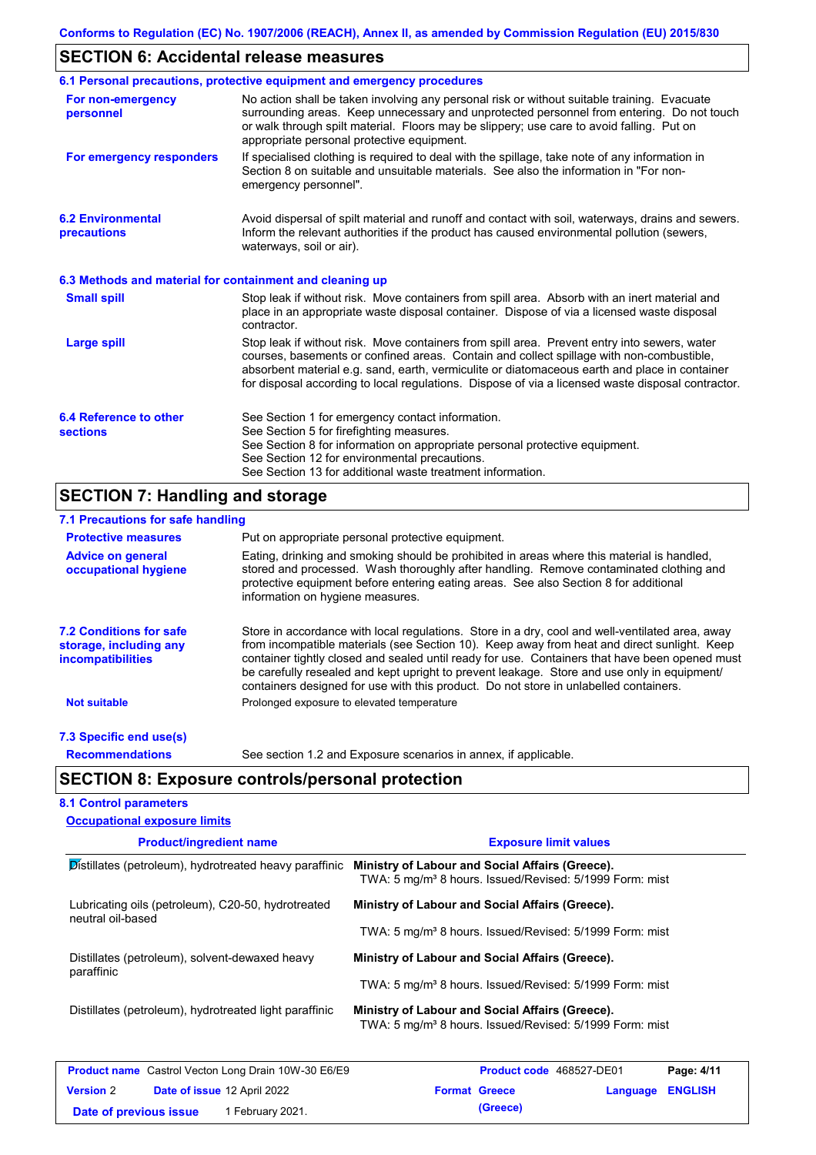# **SECTION 6: Accidental release measures**

|                                                          | 6.1 Personal precautions, protective equipment and emergency procedures                                                                                                                                                                                                                                                                                                                        |
|----------------------------------------------------------|------------------------------------------------------------------------------------------------------------------------------------------------------------------------------------------------------------------------------------------------------------------------------------------------------------------------------------------------------------------------------------------------|
| For non-emergency<br>personnel                           | No action shall be taken involving any personal risk or without suitable training. Evacuate<br>surrounding areas. Keep unnecessary and unprotected personnel from entering. Do not touch<br>or walk through spilt material. Floors may be slippery; use care to avoid falling. Put on<br>appropriate personal protective equipment.                                                            |
| For emergency responders                                 | If specialised clothing is required to deal with the spillage, take note of any information in<br>Section 8 on suitable and unsuitable materials. See also the information in "For non-<br>emergency personnel".                                                                                                                                                                               |
| <b>6.2 Environmental</b><br>precautions                  | Avoid dispersal of spilt material and runoff and contact with soil, waterways, drains and sewers.<br>Inform the relevant authorities if the product has caused environmental pollution (sewers,<br>waterways, soil or air).                                                                                                                                                                    |
| 6.3 Methods and material for containment and cleaning up |                                                                                                                                                                                                                                                                                                                                                                                                |
| <b>Small spill</b>                                       | Stop leak if without risk. Move containers from spill area. Absorb with an inert material and<br>place in an appropriate waste disposal container. Dispose of via a licensed waste disposal<br>contractor.                                                                                                                                                                                     |
| <b>Large spill</b>                                       | Stop leak if without risk. Move containers from spill area. Prevent entry into sewers, water<br>courses, basements or confined areas. Contain and collect spillage with non-combustible,<br>absorbent material e.g. sand, earth, vermiculite or diatomaceous earth and place in container<br>for disposal according to local regulations. Dispose of via a licensed waste disposal contractor. |
| 6.4 Reference to other<br><b>sections</b>                | See Section 1 for emergency contact information.<br>See Section 5 for firefighting measures.<br>See Section 8 for information on appropriate personal protective equipment.<br>See Section 12 for environmental precautions.<br>See Section 13 for additional waste treatment information.                                                                                                     |

# **SECTION 7: Handling and storage**

| 7.1 Precautions for safe handling                                                    |                                                                                                                                                                                                                                                                                                                                                                                                                                                                                          |
|--------------------------------------------------------------------------------------|------------------------------------------------------------------------------------------------------------------------------------------------------------------------------------------------------------------------------------------------------------------------------------------------------------------------------------------------------------------------------------------------------------------------------------------------------------------------------------------|
| <b>Protective measures</b>                                                           | Put on appropriate personal protective equipment.                                                                                                                                                                                                                                                                                                                                                                                                                                        |
| <b>Advice on general</b><br>occupational hygiene                                     | Eating, drinking and smoking should be prohibited in areas where this material is handled,<br>stored and processed. Wash thoroughly after handling. Remove contaminated clothing and<br>protective equipment before entering eating areas. See also Section 8 for additional<br>information on hygiene measures.                                                                                                                                                                         |
| <b>7.2 Conditions for safe</b><br>storage, including any<br><i>incompatibilities</i> | Store in accordance with local regulations. Store in a dry, cool and well-ventilated area, away<br>from incompatible materials (see Section 10). Keep away from heat and direct sunlight. Keep<br>container tightly closed and sealed until ready for use. Containers that have been opened must<br>be carefully resealed and kept upright to prevent leakage. Store and use only in equipment/<br>containers designed for use with this product. Do not store in unlabelled containers. |
| <b>Not suitable</b>                                                                  | Prolonged exposure to elevated temperature                                                                                                                                                                                                                                                                                                                                                                                                                                               |
| 7.3 Specific end use(s)                                                              |                                                                                                                                                                                                                                                                                                                                                                                                                                                                                          |
| <b>Recommendations</b>                                                               | See section 1.2 and Exposure scenarios in annex, if applicable.                                                                                                                                                                                                                                                                                                                                                                                                                          |
|                                                                                      | <b>SECTION 8: Exposure controls/personal protection</b>                                                                                                                                                                                                                                                                                                                                                                                                                                  |
| <b>8.1 Control parameters</b>                                                        |                                                                                                                                                                                                                                                                                                                                                                                                                                                                                          |
| <b>Occupational exposure limits</b>                                                  |                                                                                                                                                                                                                                                                                                                                                                                                                                                                                          |

| <b>Product/ingredient name</b>                                          | <b>Exposure limit values</b>                                                                                           |  |  |  |  |
|-------------------------------------------------------------------------|------------------------------------------------------------------------------------------------------------------------|--|--|--|--|
| $\mathcal{D}$ istillates (petroleum), hydrotreated heavy paraffinic     | Ministry of Labour and Social Affairs (Greece).<br>TWA: 5 mg/m <sup>3</sup> 8 hours. Issued/Revised: 5/1999 Form: mist |  |  |  |  |
| Lubricating oils (petroleum), C20-50, hydrotreated<br>neutral oil-based | Ministry of Labour and Social Affairs (Greece).                                                                        |  |  |  |  |
|                                                                         | TWA: 5 mg/m <sup>3</sup> 8 hours. Issued/Revised: 5/1999 Form: mist                                                    |  |  |  |  |
| Distillates (petroleum), solvent-dewaxed heavy                          | Ministry of Labour and Social Affairs (Greece).                                                                        |  |  |  |  |
| paraffinic                                                              | TWA: 5 mg/m <sup>3</sup> 8 hours. Issued/Revised: 5/1999 Form: mist                                                    |  |  |  |  |
| Distillates (petroleum), hydrotreated light paraffinic                  | Ministry of Labour and Social Affairs (Greece).<br>TWA: 5 mg/m <sup>3</sup> 8 hours. Issued/Revised: 5/1999 Form: mist |  |  |  |  |
| <b>Broduct name</b> Castrol Vector Long Drain 1011/20 EG/EQ             | $D2$ $\sim$ $A/44$<br><b>Droduct code</b> 169527 DE01                                                                  |  |  |  |  |

| <b>Product name</b> Castrol Vecton Long Drain 10W-30 E6/E9 |  |                                    | <b>Product code</b> 468527-DE01 |                      | Page: 4/11              |  |
|------------------------------------------------------------|--|------------------------------------|---------------------------------|----------------------|-------------------------|--|
| <b>Version 2</b>                                           |  | <b>Date of issue 12 April 2022</b> |                                 | <b>Format Greece</b> | <b>Language ENGLISH</b> |  |
| Date of previous issue                                     |  | 1 February 2021.                   |                                 | (Greece)             |                         |  |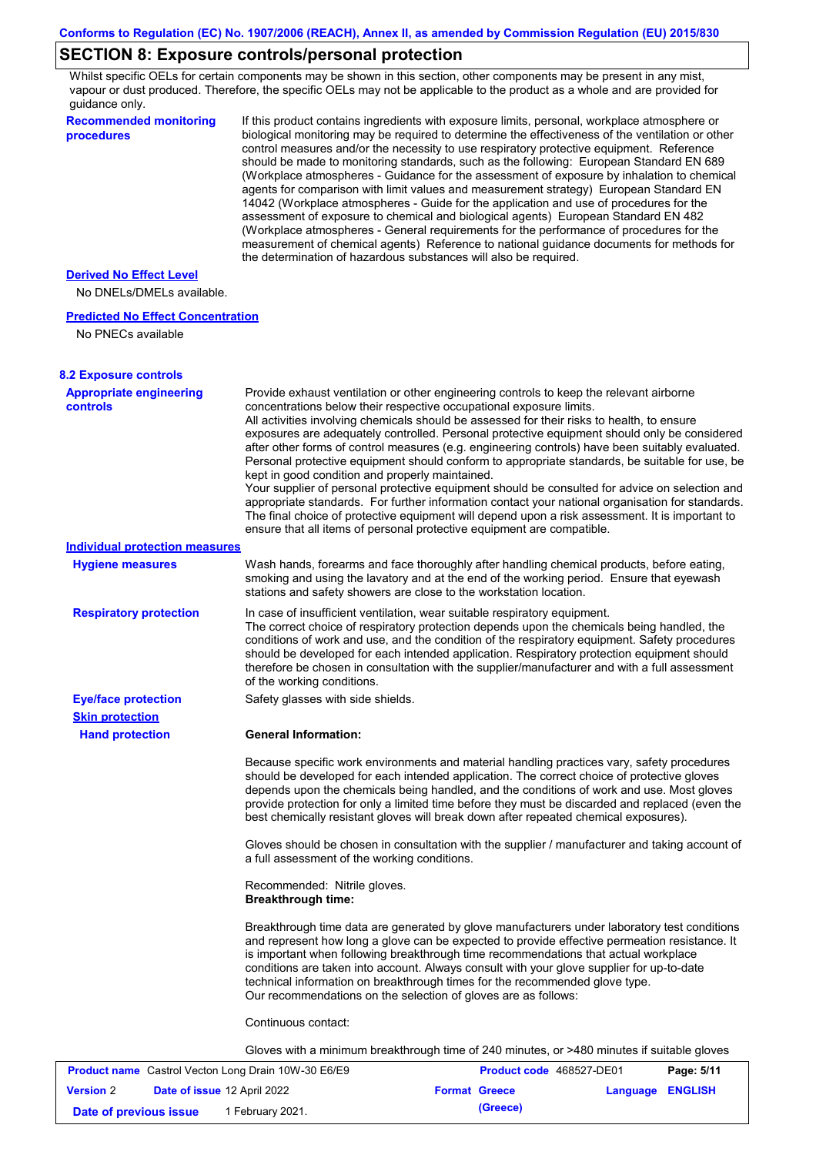# **SECTION 8: Exposure controls/personal protection**

Whilst specific OELs for certain components may be shown in this section, other components may be present in any mist, vapour or dust produced. Therefore, the specific OELs may not be applicable to the product as a whole and are provided for guidance only.

| <b>Recommended monitoring</b><br>procedures                    | If this product contains ingredients with exposure limits, personal, workplace atmosphere or<br>biological monitoring may be required to determine the effectiveness of the ventilation or other<br>control measures and/or the necessity to use respiratory protective equipment. Reference<br>should be made to monitoring standards, such as the following: European Standard EN 689<br>(Workplace atmospheres - Guidance for the assessment of exposure by inhalation to chemical<br>agents for comparison with limit values and measurement strategy) European Standard EN<br>14042 (Workplace atmospheres - Guide for the application and use of procedures for the<br>assessment of exposure to chemical and biological agents) European Standard EN 482<br>(Workplace atmospheres - General requirements for the performance of procedures for the<br>measurement of chemical agents) Reference to national guidance documents for methods for<br>the determination of hazardous substances will also be required. |                          |            |
|----------------------------------------------------------------|----------------------------------------------------------------------------------------------------------------------------------------------------------------------------------------------------------------------------------------------------------------------------------------------------------------------------------------------------------------------------------------------------------------------------------------------------------------------------------------------------------------------------------------------------------------------------------------------------------------------------------------------------------------------------------------------------------------------------------------------------------------------------------------------------------------------------------------------------------------------------------------------------------------------------------------------------------------------------------------------------------------------------|--------------------------|------------|
| <b>Derived No Effect Level</b><br>No DNELs/DMELs available.    |                                                                                                                                                                                                                                                                                                                                                                                                                                                                                                                                                                                                                                                                                                                                                                                                                                                                                                                                                                                                                            |                          |            |
| <b>Predicted No Effect Concentration</b><br>No PNECs available |                                                                                                                                                                                                                                                                                                                                                                                                                                                                                                                                                                                                                                                                                                                                                                                                                                                                                                                                                                                                                            |                          |            |
| <b>8.2 Exposure controls</b>                                   |                                                                                                                                                                                                                                                                                                                                                                                                                                                                                                                                                                                                                                                                                                                                                                                                                                                                                                                                                                                                                            |                          |            |
| <b>Appropriate engineering</b><br><b>controls</b>              | Provide exhaust ventilation or other engineering controls to keep the relevant airborne<br>concentrations below their respective occupational exposure limits.<br>All activities involving chemicals should be assessed for their risks to health, to ensure<br>exposures are adequately controlled. Personal protective equipment should only be considered<br>after other forms of control measures (e.g. engineering controls) have been suitably evaluated.<br>Personal protective equipment should conform to appropriate standards, be suitable for use, be<br>kept in good condition and properly maintained.<br>Your supplier of personal protective equipment should be consulted for advice on selection and<br>appropriate standards. For further information contact your national organisation for standards.<br>The final choice of protective equipment will depend upon a risk assessment. It is important to<br>ensure that all items of personal protective equipment are compatible.                    |                          |            |
| <b>Individual protection measures</b>                          |                                                                                                                                                                                                                                                                                                                                                                                                                                                                                                                                                                                                                                                                                                                                                                                                                                                                                                                                                                                                                            |                          |            |
| <b>Hygiene measures</b>                                        | Wash hands, forearms and face thoroughly after handling chemical products, before eating,<br>smoking and using the lavatory and at the end of the working period. Ensure that eyewash<br>stations and safety showers are close to the workstation location.                                                                                                                                                                                                                                                                                                                                                                                                                                                                                                                                                                                                                                                                                                                                                                |                          |            |
| <b>Respiratory protection</b>                                  | In case of insufficient ventilation, wear suitable respiratory equipment.<br>The correct choice of respiratory protection depends upon the chemicals being handled, the<br>conditions of work and use, and the condition of the respiratory equipment. Safety procedures<br>should be developed for each intended application. Respiratory protection equipment should<br>therefore be chosen in consultation with the supplier/manufacturer and with a full assessment<br>of the working conditions.                                                                                                                                                                                                                                                                                                                                                                                                                                                                                                                      |                          |            |
| <b>Eye/face protection</b>                                     | Safety glasses with side shields.                                                                                                                                                                                                                                                                                                                                                                                                                                                                                                                                                                                                                                                                                                                                                                                                                                                                                                                                                                                          |                          |            |
| <b>Skin protection</b>                                         |                                                                                                                                                                                                                                                                                                                                                                                                                                                                                                                                                                                                                                                                                                                                                                                                                                                                                                                                                                                                                            |                          |            |
| <b>Hand protection</b>                                         | <b>General Information:</b>                                                                                                                                                                                                                                                                                                                                                                                                                                                                                                                                                                                                                                                                                                                                                                                                                                                                                                                                                                                                |                          |            |
|                                                                | Because specific work environments and material handling practices vary, safety procedures<br>should be developed for each intended application. The correct choice of protective gloves<br>depends upon the chemicals being handled, and the conditions of work and use. Most gloves<br>provide protection for only a limited time before they must be discarded and replaced (even the<br>best chemically resistant gloves will break down after repeated chemical exposures).                                                                                                                                                                                                                                                                                                                                                                                                                                                                                                                                           |                          |            |
|                                                                | Gloves should be chosen in consultation with the supplier / manufacturer and taking account of<br>a full assessment of the working conditions.                                                                                                                                                                                                                                                                                                                                                                                                                                                                                                                                                                                                                                                                                                                                                                                                                                                                             |                          |            |
|                                                                | Recommended: Nitrile gloves.<br><b>Breakthrough time:</b>                                                                                                                                                                                                                                                                                                                                                                                                                                                                                                                                                                                                                                                                                                                                                                                                                                                                                                                                                                  |                          |            |
|                                                                | Breakthrough time data are generated by glove manufacturers under laboratory test conditions<br>and represent how long a glove can be expected to provide effective permeation resistance. It<br>is important when following breakthrough time recommendations that actual workplace<br>conditions are taken into account. Always consult with your glove supplier for up-to-date<br>technical information on breakthrough times for the recommended glove type.<br>Our recommendations on the selection of gloves are as follows:                                                                                                                                                                                                                                                                                                                                                                                                                                                                                         |                          |            |
|                                                                | Continuous contact:                                                                                                                                                                                                                                                                                                                                                                                                                                                                                                                                                                                                                                                                                                                                                                                                                                                                                                                                                                                                        |                          |            |
|                                                                | Gloves with a minimum breakthrough time of 240 minutes, or >480 minutes if suitable gloves                                                                                                                                                                                                                                                                                                                                                                                                                                                                                                                                                                                                                                                                                                                                                                                                                                                                                                                                 |                          |            |
| <b>Product name</b> Castrol Vecton Long Drain 10W-30 E6/E9     |                                                                                                                                                                                                                                                                                                                                                                                                                                                                                                                                                                                                                                                                                                                                                                                                                                                                                                                                                                                                                            | Product code 468527-DE01 | Page: 5/11 |

| <b>Product name</b> Castrol Vecton Long Drain 10W-30 E6/E9 |  |                             | <b>Product code</b> 468527-DE01 | Page: 5/11           |                  |  |
|------------------------------------------------------------|--|-----------------------------|---------------------------------|----------------------|------------------|--|
| <b>Version</b> 2                                           |  | Date of issue 12 April 2022 |                                 | <b>Format Greece</b> | Language ENGLISH |  |
| Date of previous issue                                     |  | 1 February 2021.            |                                 | (Greece)             |                  |  |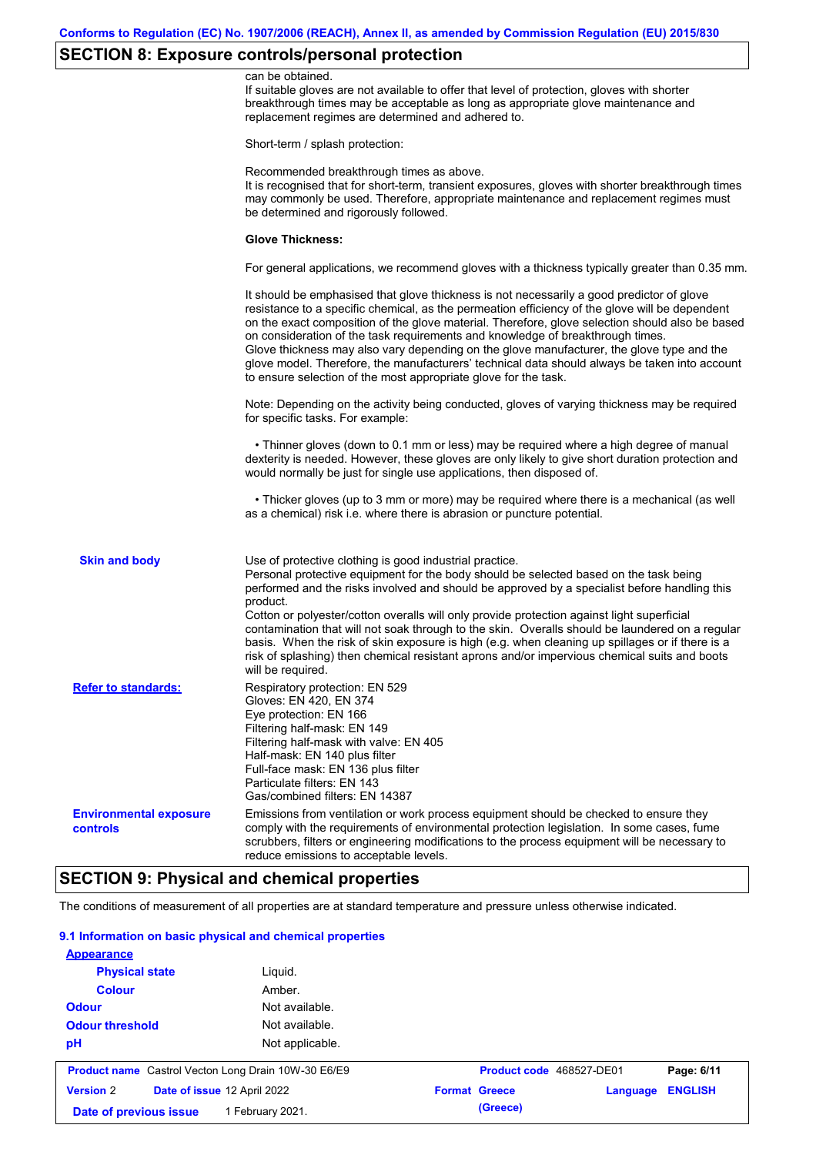# **SECTION 8: Exposure controls/personal protection**

|                                                  | can be obtained.<br>If suitable gloves are not available to offer that level of protection, gloves with shorter<br>breakthrough times may be acceptable as long as appropriate glove maintenance and<br>replacement regimes are determined and adhered to.                                                                                                                                                                                                                                                                                                                                                                                        |
|--------------------------------------------------|---------------------------------------------------------------------------------------------------------------------------------------------------------------------------------------------------------------------------------------------------------------------------------------------------------------------------------------------------------------------------------------------------------------------------------------------------------------------------------------------------------------------------------------------------------------------------------------------------------------------------------------------------|
|                                                  | Short-term / splash protection:                                                                                                                                                                                                                                                                                                                                                                                                                                                                                                                                                                                                                   |
|                                                  | Recommended breakthrough times as above.<br>It is recognised that for short-term, transient exposures, gloves with shorter breakthrough times<br>may commonly be used. Therefore, appropriate maintenance and replacement regimes must<br>be determined and rigorously followed.                                                                                                                                                                                                                                                                                                                                                                  |
|                                                  | <b>Glove Thickness:</b>                                                                                                                                                                                                                                                                                                                                                                                                                                                                                                                                                                                                                           |
|                                                  | For general applications, we recommend gloves with a thickness typically greater than 0.35 mm.                                                                                                                                                                                                                                                                                                                                                                                                                                                                                                                                                    |
|                                                  | It should be emphasised that glove thickness is not necessarily a good predictor of glove<br>resistance to a specific chemical, as the permeation efficiency of the glove will be dependent<br>on the exact composition of the glove material. Therefore, glove selection should also be based<br>on consideration of the task requirements and knowledge of breakthrough times.<br>Glove thickness may also vary depending on the glove manufacturer, the glove type and the<br>glove model. Therefore, the manufacturers' technical data should always be taken into account<br>to ensure selection of the most appropriate glove for the task. |
|                                                  | Note: Depending on the activity being conducted, gloves of varying thickness may be required<br>for specific tasks. For example:                                                                                                                                                                                                                                                                                                                                                                                                                                                                                                                  |
|                                                  | • Thinner gloves (down to 0.1 mm or less) may be required where a high degree of manual<br>dexterity is needed. However, these gloves are only likely to give short duration protection and<br>would normally be just for single use applications, then disposed of.                                                                                                                                                                                                                                                                                                                                                                              |
|                                                  | • Thicker gloves (up to 3 mm or more) may be required where there is a mechanical (as well<br>as a chemical) risk i.e. where there is abrasion or puncture potential.                                                                                                                                                                                                                                                                                                                                                                                                                                                                             |
| <b>Skin and body</b>                             | Use of protective clothing is good industrial practice.<br>Personal protective equipment for the body should be selected based on the task being<br>performed and the risks involved and should be approved by a specialist before handling this<br>product.<br>Cotton or polyester/cotton overalls will only provide protection against light superficial                                                                                                                                                                                                                                                                                        |
|                                                  | contamination that will not soak through to the skin. Overalls should be laundered on a regular<br>basis. When the risk of skin exposure is high (e.g. when cleaning up spillages or if there is a<br>risk of splashing) then chemical resistant aprons and/or impervious chemical suits and boots<br>will be required.                                                                                                                                                                                                                                                                                                                           |
| <b>Refer to standards:</b>                       | Respiratory protection: EN 529<br>Gloves: EN 420, EN 374<br>Eye protection: EN 166<br>Filtering half-mask: EN 149<br>Filtering half-mask with valve: EN 405<br>Half-mask: EN 140 plus filter<br>Full-face mask: EN 136 plus filter<br>Particulate filters: EN 143<br>Gas/combined filters: EN 14387                                                                                                                                                                                                                                                                                                                                               |
| <b>Environmental exposure</b><br><b>controls</b> | Emissions from ventilation or work process equipment should be checked to ensure they<br>comply with the requirements of environmental protection legislation. In some cases, fume<br>scrubbers, filters or engineering modifications to the process equipment will be necessary to<br>reduce emissions to acceptable levels.                                                                                                                                                                                                                                                                                                                     |
|                                                  |                                                                                                                                                                                                                                                                                                                                                                                                                                                                                                                                                                                                                                                   |

# **SECTION 9: Physical and chemical properties**

The conditions of measurement of all properties are at standard temperature and pressure unless otherwise indicated.

### **9.1 Information on basic physical and chemical properties**

|                        | Date of previous issue<br>1 February 2021.                 |                 |                      | (Greece)                 |          |                |
|------------------------|------------------------------------------------------------|-----------------|----------------------|--------------------------|----------|----------------|
| <b>Version 2</b>       | Date of issue 12 April 2022                                |                 | <b>Format Greece</b> |                          | Language | <b>ENGLISH</b> |
|                        | <b>Product name</b> Castrol Vecton Long Drain 10W-30 E6/E9 |                 |                      | Product code 468527-DE01 |          | Page: 6/11     |
| pH                     |                                                            | Not applicable. |                      |                          |          |                |
| <b>Odour threshold</b> |                                                            | Not available.  |                      |                          |          |                |
| <b>Odour</b>           |                                                            | Not available.  |                      |                          |          |                |
| <b>Colour</b>          |                                                            | Amber.          |                      |                          |          |                |
| <b>Physical state</b>  | Liguid.                                                    |                 |                      |                          |          |                |
|                        |                                                            |                 |                      |                          |          |                |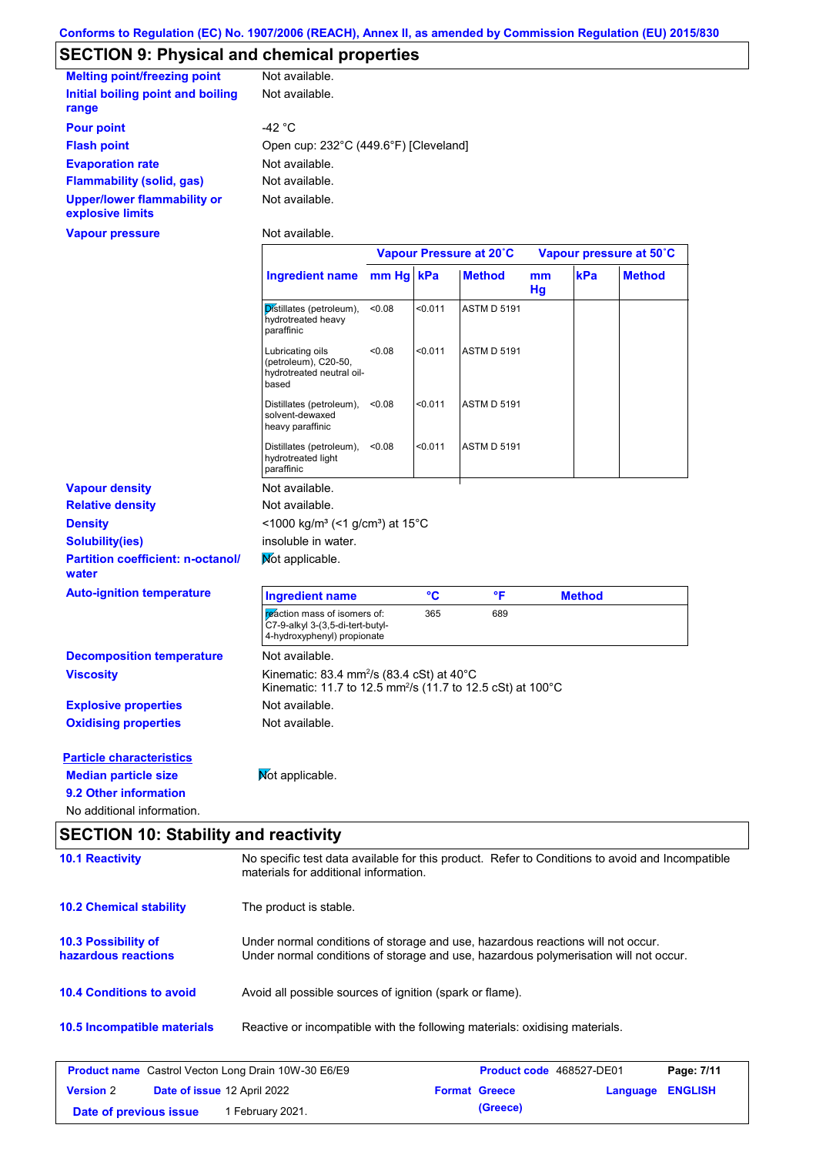# **SECTION 9: Physical and chemical properties**

| <b>Melting point/freezing point</b>                    | Not available.                        |
|--------------------------------------------------------|---------------------------------------|
| Initial boiling point and boiling                      | Not available.                        |
| range                                                  |                                       |
| <b>Pour point</b>                                      | -42 $^{\circ}$ C                      |
| <b>Flash point</b>                                     | Open cup: 232°C (449.6°F) [Cleveland] |
| <b>Evaporation rate</b>                                | Not available.                        |
| <b>Flammability (solid, gas)</b>                       | Not available.                        |
| <b>Upper/lower flammability or</b><br>explosive limits | Not available.                        |
| Vapour pressure                                        | Not available.                        |

|                                                   |                                                                                                                                 | Vapour Pressure at 20°C |         |                    | Vapour pressure at 50°C |               |               |
|---------------------------------------------------|---------------------------------------------------------------------------------------------------------------------------------|-------------------------|---------|--------------------|-------------------------|---------------|---------------|
|                                                   | <b>Ingredient name</b>                                                                                                          | mm Hg kPa               |         | <b>Method</b>      | mm<br>Hg                | kPa           | <b>Method</b> |
|                                                   | Distillates (petroleum),<br>hydrotreated heavy<br>paraffinic                                                                    | < 0.08                  | < 0.011 | <b>ASTM D 5191</b> |                         |               |               |
|                                                   | Lubricating oils<br>(petroleum), C20-50,<br>hydrotreated neutral oil-<br>based                                                  | <0.08                   | < 0.011 | <b>ASTM D 5191</b> |                         |               |               |
|                                                   | Distillates (petroleum),<br>solvent-dewaxed<br>heavy paraffinic                                                                 | < 0.08                  | < 0.011 | <b>ASTM D 5191</b> |                         |               |               |
|                                                   | Distillates (petroleum),<br>hydrotreated light<br>paraffinic                                                                    | < 0.08                  | < 0.011 | <b>ASTM D 5191</b> |                         |               |               |
| <b>Vapour density</b>                             | Not available.                                                                                                                  |                         |         |                    |                         |               |               |
| <b>Relative density</b>                           | Not available.                                                                                                                  |                         |         |                    |                         |               |               |
| <b>Density</b>                                    | <1000 kg/m <sup>3</sup> (<1 g/cm <sup>3</sup> ) at 15°C                                                                         |                         |         |                    |                         |               |               |
| <b>Solubility(ies)</b>                            | insoluble in water.                                                                                                             |                         |         |                    |                         |               |               |
| <b>Partition coefficient: n-octanol/</b><br>water | Mot applicable.                                                                                                                 |                         |         |                    |                         |               |               |
| <b>Auto-ignition temperature</b>                  | <b>Ingredient name</b>                                                                                                          |                         | °C      | $\mathsf{P}$       |                         | <b>Method</b> |               |
|                                                   | reaction mass of isomers of:<br>C7-9-alkyl 3-(3,5-di-tert-butyl-<br>4-hydroxyphenyl) propionate                                 |                         | 365     | 689                |                         |               |               |
| <b>Decomposition temperature</b>                  | Not available.                                                                                                                  |                         |         |                    |                         |               |               |
| <b>Viscosity</b>                                  | Kinematic: 83.4 mm <sup>2</sup> /s (83.4 cSt) at 40°C<br>Kinematic: 11.7 to 12.5 mm <sup>2</sup> /s (11.7 to 12.5 cSt) at 100°C |                         |         |                    |                         |               |               |
| <b>Explosive properties</b>                       | Not available.                                                                                                                  |                         |         |                    |                         |               |               |
| <b>Oxidising properties</b>                       | Not available.                                                                                                                  |                         |         |                    |                         |               |               |
| <b>Particle characteristics</b>                   |                                                                                                                                 |                         |         |                    |                         |               |               |
| <b>Median particle size</b>                       | Mot applicable.                                                                                                                 |                         |         |                    |                         |               |               |
| 9.2 Other information                             |                                                                                                                                 |                         |         |                    |                         |               |               |
| No additional information.                        |                                                                                                                                 |                         |         |                    |                         |               |               |

| <b>SECTION 10: Stability and reactivity</b> |                                    |
|---------------------------------------------|------------------------------------|
| 40.4 Departicular                           | No aponific toot data quailable fo |

| <b>10.1 Reactivity</b>                                     | No specific test data available for this product. Refer to Conditions to avoid and Incompatible<br>materials for additional information.                                |                          |          |                |
|------------------------------------------------------------|-------------------------------------------------------------------------------------------------------------------------------------------------------------------------|--------------------------|----------|----------------|
| <b>10.2 Chemical stability</b>                             | The product is stable.                                                                                                                                                  |                          |          |                |
| <b>10.3 Possibility of</b><br>hazardous reactions          | Under normal conditions of storage and use, hazardous reactions will not occur.<br>Under normal conditions of storage and use, hazardous polymerisation will not occur. |                          |          |                |
| <b>10.4 Conditions to avoid</b>                            | Avoid all possible sources of ignition (spark or flame).                                                                                                                |                          |          |                |
| <b>10.5 Incompatible materials</b>                         | Reactive or incompatible with the following materials: oxidising materials.                                                                                             |                          |          |                |
| <b>Product name</b> Castrol Vecton Long Drain 10W-30 E6/E9 |                                                                                                                                                                         | Product code 468527-DE01 |          | Page: 7/11     |
| <b>Version 2</b><br><b>Date of issue 12 April 2022</b>     |                                                                                                                                                                         | <b>Format Greece</b>     | Language | <b>ENGLISH</b> |

**Date of previous issue 1 February 2021. (Greece)** 

**Date of issue** 12 April 2022 **Format Greece Language ENGLISH**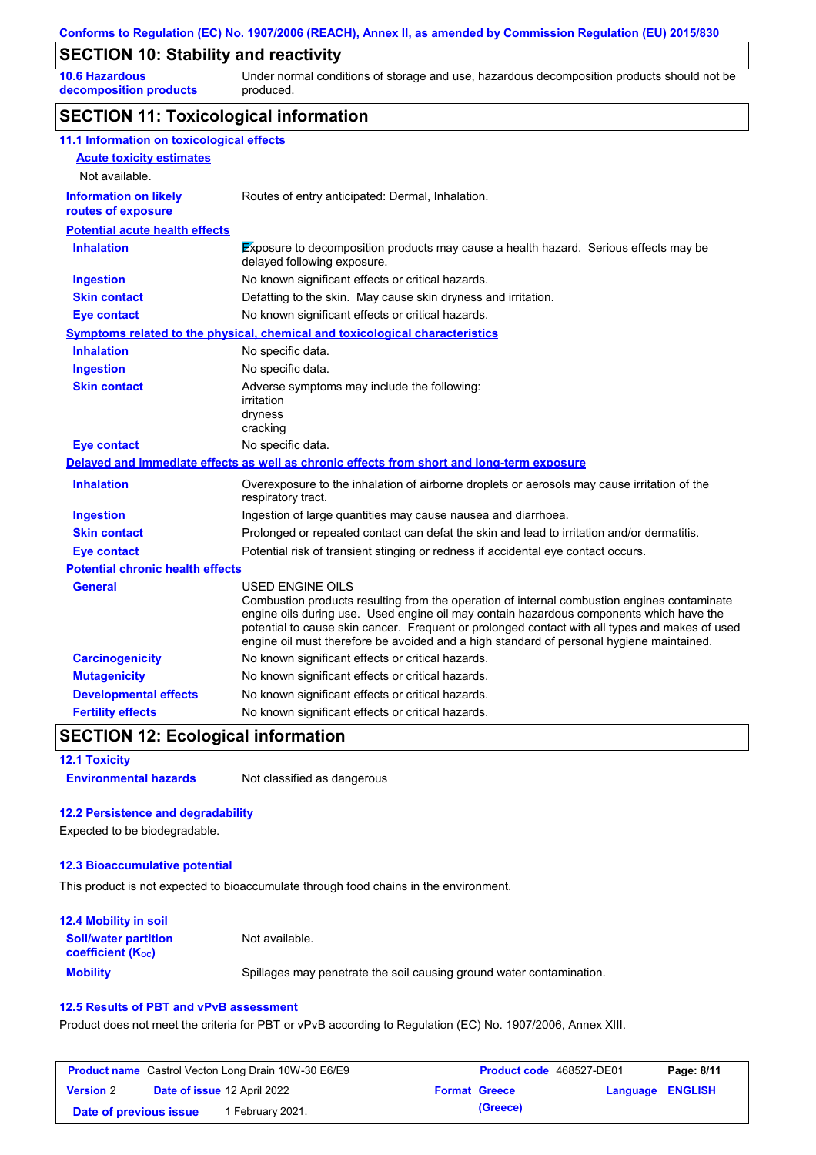### **SECTION 10: Stability and reactivity**

**10.6 Hazardous decomposition products** Under normal conditions of storage and use, hazardous decomposition products should not be produced.

# **SECTION 11: Toxicological information**

| 11.1 Information on toxicological effects |                                                                                                                                                                                                                                                                                                                                                                                                                 |
|-------------------------------------------|-----------------------------------------------------------------------------------------------------------------------------------------------------------------------------------------------------------------------------------------------------------------------------------------------------------------------------------------------------------------------------------------------------------------|
| <b>Acute toxicity estimates</b>           |                                                                                                                                                                                                                                                                                                                                                                                                                 |
| Not available.                            |                                                                                                                                                                                                                                                                                                                                                                                                                 |
| <b>Information on likely</b>              | Routes of entry anticipated: Dermal, Inhalation.                                                                                                                                                                                                                                                                                                                                                                |
| routes of exposure                        |                                                                                                                                                                                                                                                                                                                                                                                                                 |
| <b>Potential acute health effects</b>     |                                                                                                                                                                                                                                                                                                                                                                                                                 |
| <b>Inhalation</b>                         | Exposure to decomposition products may cause a health hazard. Serious effects may be<br>delayed following exposure.                                                                                                                                                                                                                                                                                             |
| <b>Ingestion</b>                          | No known significant effects or critical hazards.                                                                                                                                                                                                                                                                                                                                                               |
| <b>Skin contact</b>                       | Defatting to the skin. May cause skin dryness and irritation.                                                                                                                                                                                                                                                                                                                                                   |
| <b>Eye contact</b>                        | No known significant effects or critical hazards.                                                                                                                                                                                                                                                                                                                                                               |
|                                           | <b>Symptoms related to the physical, chemical and toxicological characteristics</b>                                                                                                                                                                                                                                                                                                                             |
| <b>Inhalation</b>                         | No specific data.                                                                                                                                                                                                                                                                                                                                                                                               |
| <b>Ingestion</b>                          | No specific data.                                                                                                                                                                                                                                                                                                                                                                                               |
| <b>Skin contact</b>                       | Adverse symptoms may include the following:<br>irritation<br>dryness<br>cracking                                                                                                                                                                                                                                                                                                                                |
| <b>Eye contact</b>                        | No specific data.                                                                                                                                                                                                                                                                                                                                                                                               |
|                                           | Delayed and immediate effects as well as chronic effects from short and long-term exposure                                                                                                                                                                                                                                                                                                                      |
| <b>Inhalation</b>                         | Overexposure to the inhalation of airborne droplets or aerosols may cause irritation of the<br>respiratory tract.                                                                                                                                                                                                                                                                                               |
| <b>Ingestion</b>                          | Ingestion of large quantities may cause nausea and diarrhoea.                                                                                                                                                                                                                                                                                                                                                   |
| <b>Skin contact</b>                       | Prolonged or repeated contact can defat the skin and lead to irritation and/or dermatitis.                                                                                                                                                                                                                                                                                                                      |
| <b>Eye contact</b>                        | Potential risk of transient stinging or redness if accidental eye contact occurs.                                                                                                                                                                                                                                                                                                                               |
| <b>Potential chronic health effects</b>   |                                                                                                                                                                                                                                                                                                                                                                                                                 |
| <b>General</b>                            | <b>USED ENGINE OILS</b><br>Combustion products resulting from the operation of internal combustion engines contaminate<br>engine oils during use. Used engine oil may contain hazardous components which have the<br>potential to cause skin cancer. Frequent or prolonged contact with all types and makes of used<br>engine oil must therefore be avoided and a high standard of personal hygiene maintained. |
| <b>Carcinogenicity</b>                    | No known significant effects or critical hazards.                                                                                                                                                                                                                                                                                                                                                               |
| <b>Mutagenicity</b>                       | No known significant effects or critical hazards.                                                                                                                                                                                                                                                                                                                                                               |
| <b>Developmental effects</b>              | No known significant effects or critical hazards.                                                                                                                                                                                                                                                                                                                                                               |
| <b>Fertility effects</b>                  | No known significant effects or critical hazards.                                                                                                                                                                                                                                                                                                                                                               |

### **SECTION 12: Ecological information**

**Environmental hazards** Not classified as dangerous

#### **12.2 Persistence and degradability**

Expected to be biodegradable.

#### **12.3 Bioaccumulative potential**

This product is not expected to bioaccumulate through food chains in the environment.

| <b>12.4 Mobility in soil</b>                                  |                                                                      |
|---------------------------------------------------------------|----------------------------------------------------------------------|
| <b>Soil/water partition</b><br>coefficient (K <sub>oc</sub> ) | Not available.                                                       |
| <b>Mobility</b>                                               | Spillages may penetrate the soil causing ground water contamination. |

#### **12.5 Results of PBT and vPvB assessment**

Product does not meet the criteria for PBT or vPvB according to Regulation (EC) No. 1907/2006, Annex XIII.

| <b>Product name</b> Castrol Vecton Long Drain 10W-30 E6/E9 |  | Product code 468527-DE01           |                      | Page: 8/11 |                         |  |
|------------------------------------------------------------|--|------------------------------------|----------------------|------------|-------------------------|--|
| <b>Version 2</b>                                           |  | <b>Date of issue 12 April 2022</b> | <b>Format Greece</b> |            | <b>Language ENGLISH</b> |  |
| Date of previous issue                                     |  | 1 February 2021.                   |                      | (Greece)   |                         |  |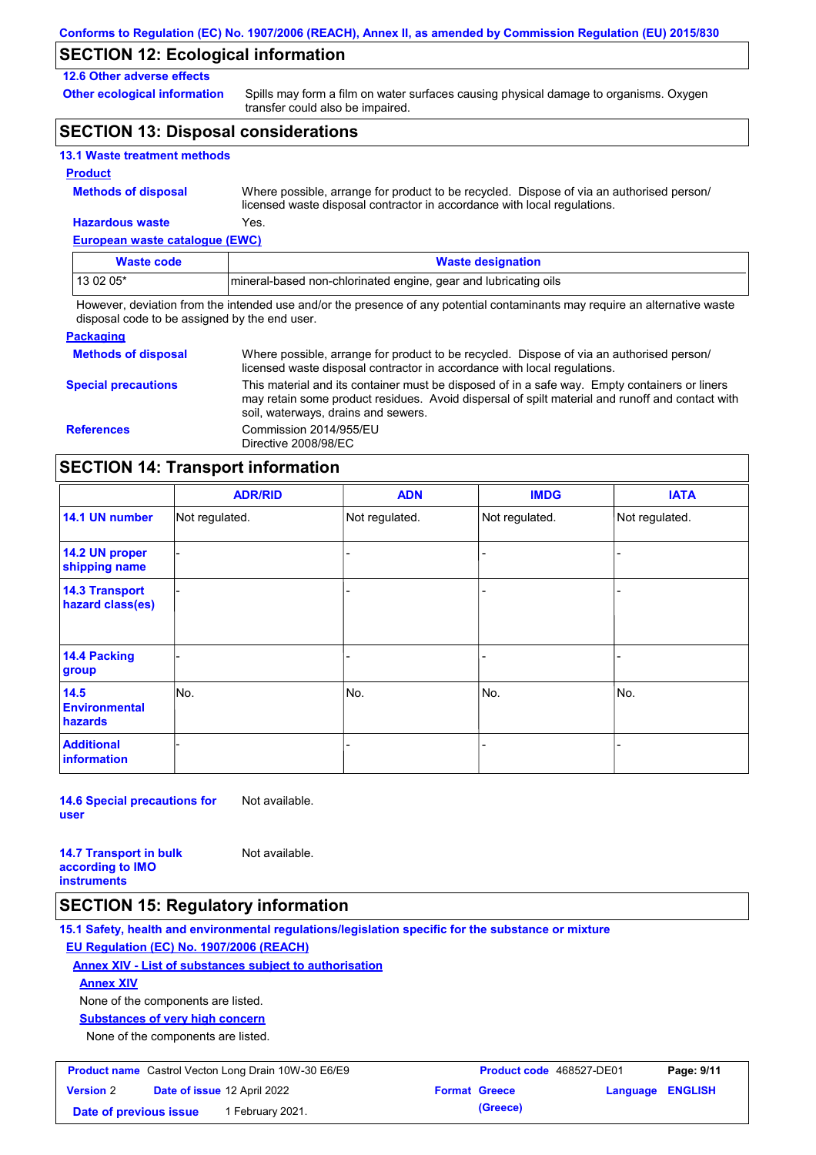## **SECTION 12: Ecological information**

#### **12.6 Other adverse effects**

**Other ecological information**

Spills may form a film on water surfaces causing physical damage to organisms. Oxygen transfer could also be impaired.

# **SECTION 13: Disposal considerations**

|  |  | <b>13.1 Waste treatment methods</b> |  |
|--|--|-------------------------------------|--|
|--|--|-------------------------------------|--|

#### **Product**

**Methods of disposal**

**Hazardous waste** Yes. Where possible, arrange for product to be recycled. Dispose of via an authorised person/ licensed waste disposal contractor in accordance with local regulations.

**European waste catalogue (EWC)**

| Waste code | <b>Waste designation</b>                                         |
|------------|------------------------------------------------------------------|
| 13 02 05*  | Imineral-based non-chlorinated engine, gear and lubricating oils |

However, deviation from the intended use and/or the presence of any potential contaminants may require an alternative waste disposal code to be assigned by the end user.

| <b>Packaging</b>           |                                                                                                                                                                                                                                         |
|----------------------------|-----------------------------------------------------------------------------------------------------------------------------------------------------------------------------------------------------------------------------------------|
| <b>Methods of disposal</b> | Where possible, arrange for product to be recycled. Dispose of via an authorised person/<br>licensed waste disposal contractor in accordance with local regulations.                                                                    |
| <b>Special precautions</b> | This material and its container must be disposed of in a safe way. Empty containers or liners<br>may retain some product residues. Avoid dispersal of spilt material and runoff and contact with<br>soil, waterways, drains and sewers. |
| <b>References</b>          | Commission 2014/955/EU<br>Directive 2008/98/EC                                                                                                                                                                                          |

### **SECTION 14: Transport information**

|                                           | <b>ADR/RID</b> | <b>ADN</b>     | <b>IMDG</b>    | <b>IATA</b>    |  |
|-------------------------------------------|----------------|----------------|----------------|----------------|--|
| 14.1 UN number                            | Not regulated. | Not regulated. | Not regulated. | Not regulated. |  |
| 14.2 UN proper<br>shipping name           |                |                |                |                |  |
| <b>14.3 Transport</b><br>hazard class(es) |                |                |                |                |  |
| 14.4 Packing<br>group                     |                |                |                |                |  |
| 14.5<br><b>Environmental</b><br>hazards   | No.            | No.            | No.            | No.            |  |
| <b>Additional</b><br>information          |                |                |                |                |  |

**14.6 Special precautions for user**

Not available.

Not available.

**14.7 Transport in bulk according to IMO instruments**

### **SECTION 15: Regulatory information**

**15.1 Safety, health and environmental regulations/legislation specific for the substance or mixture EU Regulation (EC) No. 1907/2006 (REACH)**

#### **Annex XIV - List of substances subject to authorisation**

**Annex XIV**

None of the components are listed.

**Substances of very high concern**

None of the components are listed.

| <b>Product name</b> Castrol Vecton Long Drain 10W-30 E6/E9 |  | <b>Product code</b> 468527-DE01    |  | Page: 9/11           |                         |  |
|------------------------------------------------------------|--|------------------------------------|--|----------------------|-------------------------|--|
| <b>Version 2</b>                                           |  | <b>Date of issue 12 April 2022</b> |  | <b>Format Greece</b> | <b>Language ENGLISH</b> |  |
| Date of previous issue                                     |  | 1 February 2021.                   |  | (Greece)             |                         |  |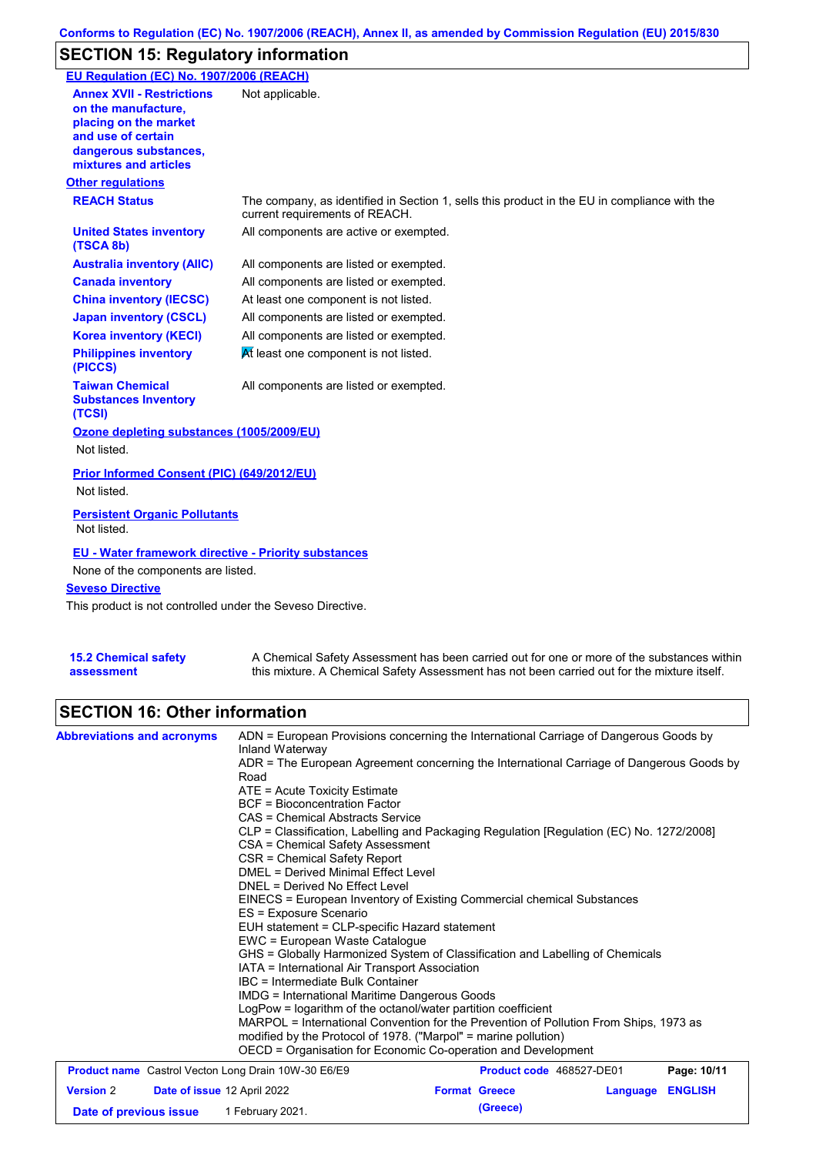# **SECTION 15: Regulatory information**

| EU Regulation (EC) No. 1907/2006 (REACH)                                                                                                                 |                                                                                                                                |
|----------------------------------------------------------------------------------------------------------------------------------------------------------|--------------------------------------------------------------------------------------------------------------------------------|
| <b>Annex XVII - Restrictions</b><br>on the manufacture.<br>placing on the market<br>and use of certain<br>dangerous substances,<br>mixtures and articles | Not applicable.                                                                                                                |
| <b>Other regulations</b>                                                                                                                                 |                                                                                                                                |
| <b>REACH Status</b>                                                                                                                                      | The company, as identified in Section 1, sells this product in the EU in compliance with the<br>current requirements of REACH. |
| <b>United States inventory</b><br>(TSCA 8b)                                                                                                              | All components are active or exempted.                                                                                         |
| <b>Australia inventory (AIIC)</b>                                                                                                                        | All components are listed or exempted.                                                                                         |
| <b>Canada inventory</b>                                                                                                                                  | All components are listed or exempted.                                                                                         |
| <b>China inventory (IECSC)</b>                                                                                                                           | At least one component is not listed.                                                                                          |
| <b>Japan inventory (CSCL)</b>                                                                                                                            | All components are listed or exempted.                                                                                         |
| <b>Korea inventory (KECI)</b>                                                                                                                            | All components are listed or exempted.                                                                                         |
| <b>Philippines inventory</b><br>(PICCS)                                                                                                                  | At least one component is not listed.                                                                                          |
| <b>Taiwan Chemical</b><br><b>Substances Inventory</b><br>(TCSI)                                                                                          | All components are listed or exempted.                                                                                         |
| Ozone depleting substances (1005/2009/EU)                                                                                                                |                                                                                                                                |
| Not listed.                                                                                                                                              |                                                                                                                                |
| Prior Informed Consent (PIC) (649/2012/EU)<br>Not listed.                                                                                                |                                                                                                                                |
| <b>Persistent Organic Pollutants</b><br>Not listed.                                                                                                      |                                                                                                                                |
| <b>EU - Water framework directive - Priority substances</b><br>None of the components are listed.                                                        |                                                                                                                                |
| <b>Seveso Directive</b>                                                                                                                                  |                                                                                                                                |
| This product is not controlled under the Seveso Directive.                                                                                               |                                                                                                                                |

| <b>15.2 Chemical safety</b> |  |
|-----------------------------|--|
| assessment                  |  |

A Chemical Safety Assessment has been carried out for one or more of the substances within this mixture. A Chemical Safety Assessment has not been carried out for the mixture itself.

# **SECTION 16: Other information**

| <b>Abbreviations and acronyms</b>                                                | ADN = European Provisions concerning the International Carriage of Dangerous Goods by<br>Inland Waterway<br>ADR = The European Agreement concerning the International Carriage of Dangerous Goods by<br>Road<br>ATE = Acute Toxicity Estimate<br><b>BCF</b> = Bioconcentration Factor<br>CAS = Chemical Abstracts Service<br>CLP = Classification, Labelling and Packaging Regulation [Regulation (EC) No. 1272/2008]<br>CSA = Chemical Safety Assessment<br>CSR = Chemical Safety Report<br><b>DMEL = Derived Minimal Effect Level</b><br>DNEL = Derived No Effect Level<br>EINECS = European Inventory of Existing Commercial chemical Substances<br>ES = Exposure Scenario<br>EUH statement = CLP-specific Hazard statement<br>EWC = European Waste Catalogue<br>GHS = Globally Harmonized System of Classification and Labelling of Chemicals<br>IATA = International Air Transport Association<br>IBC = Intermediate Bulk Container<br>IMDG = International Maritime Dangerous Goods |                                  |          |                |
|----------------------------------------------------------------------------------|-------------------------------------------------------------------------------------------------------------------------------------------------------------------------------------------------------------------------------------------------------------------------------------------------------------------------------------------------------------------------------------------------------------------------------------------------------------------------------------------------------------------------------------------------------------------------------------------------------------------------------------------------------------------------------------------------------------------------------------------------------------------------------------------------------------------------------------------------------------------------------------------------------------------------------------------------------------------------------------------|----------------------------------|----------|----------------|
|                                                                                  | LogPow = logarithm of the octanol/water partition coefficient<br>MARPOL = International Convention for the Prevention of Pollution From Ships, 1973 as<br>modified by the Protocol of 1978. ("Marpol" = marine pollution)<br>OECD = Organisation for Economic Co-operation and Development                                                                                                                                                                                                                                                                                                                                                                                                                                                                                                                                                                                                                                                                                                |                                  |          |                |
| <b>Product name</b> Castrol Vecton Long Drain 10W-30 E6/E9                       |                                                                                                                                                                                                                                                                                                                                                                                                                                                                                                                                                                                                                                                                                                                                                                                                                                                                                                                                                                                           | Product code 468527-DE01         |          | Page: 10/11    |
| <b>Version 2</b><br><b>Date of issue 12 April 2022</b><br>Date of previous issue | 1 February 2021.                                                                                                                                                                                                                                                                                                                                                                                                                                                                                                                                                                                                                                                                                                                                                                                                                                                                                                                                                                          | <b>Format Greece</b><br>(Greece) | Language | <b>ENGLISH</b> |